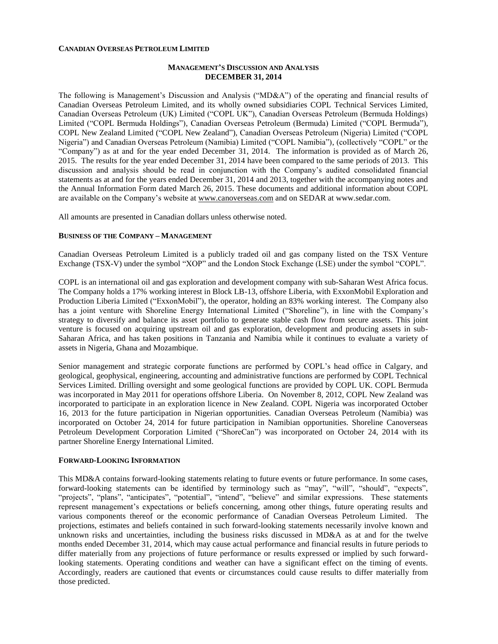### **CANADIAN OVERSEAS PETROLEUM LIMITED**

## **MANAGEMENT'S DISCUSSION AND ANALYSIS DECEMBER 31, 2014**

The following is Management's Discussion and Analysis ("MD&A") of the operating and financial results of Canadian Overseas Petroleum Limited, and its wholly owned subsidiaries COPL Technical Services Limited, Canadian Overseas Petroleum (UK) Limited ("COPL UK"), Canadian Overseas Petroleum (Bermuda Holdings) Limited ("COPL Bermuda Holdings"), Canadian Overseas Petroleum (Bermuda) Limited ("COPL Bermuda"), COPL New Zealand Limited ("COPL New Zealand"), Canadian Overseas Petroleum (Nigeria) Limited ("COPL Nigeria") and Canadian Overseas Petroleum (Namibia) Limited ("COPL Namibia"), (collectively "COPL" or the "Company") as at and for the year ended December 31, 2014. The information is provided as of March 26, 2015. The results for the year ended December 31, 2014 have been compared to the same periods of 2013. This discussion and analysis should be read in conjunction with the Company's audited consolidated financial statements as at and for the years ended December 31, 2014 and 2013, together with the accompanying notes and the Annual Information Form dated March 26, 2015. These documents and additional information about COPL are available on the Company's website at [www.canoverseas.com](http://www.canoverseas.com/) and on SEDAR at [www.sedar.com.](http://www.sedar.com/)

All amounts are presented in Canadian dollars unless otherwise noted.

#### **BUSINESS OF THE COMPANY – MANAGEMENT**

Canadian Overseas Petroleum Limited is a publicly traded oil and gas company listed on the TSX Venture Exchange (TSX-V) under the symbol "XOP" and the London Stock Exchange (LSE) under the symbol "COPL".

COPL is an international oil and gas exploration and development company with sub-Saharan West Africa focus. The Company holds a 17% working interest in Block LB-13, offshore Liberia, with ExxonMobil Exploration and Production Liberia Limited ("ExxonMobil"), the operator, holding an 83% working interest. The Company also has a joint venture with Shoreline Energy International Limited ("Shoreline"), in line with the Company's strategy to diversify and balance its asset portfolio to generate stable cash flow from secure assets. This joint venture is focused on acquiring upstream oil and gas exploration, development and producing assets in sub-Saharan Africa, and has taken positions in Tanzania and Namibia while it continues to evaluate a variety of assets in Nigeria, Ghana and Mozambique.

Senior management and strategic corporate functions are performed by COPL's head office in Calgary, and geological, geophysical, engineering, accounting and administrative functions are performed by COPL Technical Services Limited. Drilling oversight and some geological functions are provided by COPL UK. COPL Bermuda was incorporated in May 2011 for operations offshore Liberia. On November 8, 2012, COPL New Zealand was incorporated to participate in an exploration licence in New Zealand. COPL Nigeria was incorporated October 16, 2013 for the future participation in Nigerian opportunities. Canadian Overseas Petroleum (Namibia) was incorporated on October 24, 2014 for future participation in Namibian opportunities. Shoreline Canoverseas Petroleum Development Corporation Limited ("ShoreCan") was incorporated on October 24, 2014 with its partner Shoreline Energy International Limited.

### **FORWARD-LOOKING INFORMATION**

This MD&A contains forward-looking statements relating to future events or future performance. In some cases, forward-looking statements can be identified by terminology such as "may", "will", "should", "expects", "projects", "plans", "anticipates", "potential", "intend", "believe" and similar expressions. These statements represent management's expectations or beliefs concerning, among other things, future operating results and various components thereof or the economic performance of Canadian Overseas Petroleum Limited. The projections, estimates and beliefs contained in such forward-looking statements necessarily involve known and unknown risks and uncertainties, including the business risks discussed in MD&A as at and for the twelve months ended December 31, 2014, which may cause actual performance and financial results in future periods to differ materially from any projections of future performance or results expressed or implied by such forwardlooking statements. Operating conditions and weather can have a significant effect on the timing of events. Accordingly, readers are cautioned that events or circumstances could cause results to differ materially from those predicted.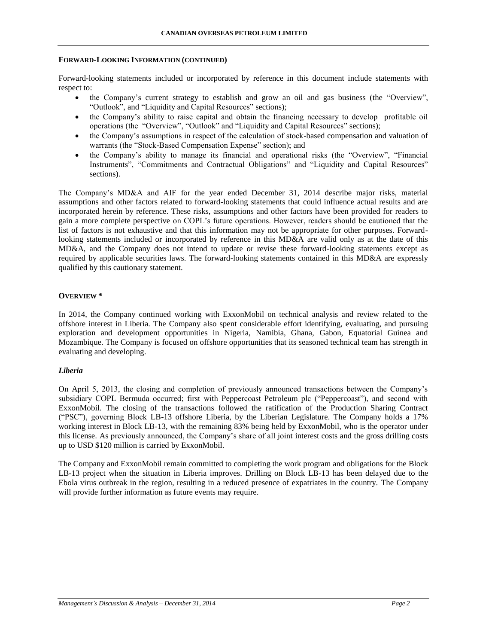## **FORWARD-LOOKING INFORMATION (CONTINUED)**

Forward-looking statements included or incorporated by reference in this document include statements with respect to:

- the Company's current strategy to establish and grow an oil and gas business (the "Overview", "Outlook", and "Liquidity and Capital Resources" sections);
- the Company's ability to raise capital and obtain the financing necessary to develop profitable oil operations (the "Overview", "Outlook" and "Liquidity and Capital Resources" sections);
- the Company's assumptions in respect of the calculation of stock-based compensation and valuation of warrants (the "Stock-Based Compensation Expense" section); and
- the Company's ability to manage its financial and operational risks (the "Overview", "Financial Instruments", "Commitments and Contractual Obligations" and "Liquidity and Capital Resources" sections).

The Company's MD&A and AIF for the year ended December 31, 2014 describe major risks, material assumptions and other factors related to forward-looking statements that could influence actual results and are incorporated herein by reference. These risks, assumptions and other factors have been provided for readers to gain a more complete perspective on COPL's future operations. However, readers should be cautioned that the list of factors is not exhaustive and that this information may not be appropriate for other purposes. Forwardlooking statements included or incorporated by reference in this MD&A are valid only as at the date of this MD&A, and the Company does not intend to update or revise these forward-looking statements except as required by applicable securities laws. The forward-looking statements contained in this MD&A are expressly qualified by this cautionary statement.

## **OVERVIEW \***

In 2014, the Company continued working with ExxonMobil on technical analysis and review related to the offshore interest in Liberia. The Company also spent considerable effort identifying, evaluating, and pursuing exploration and development opportunities in Nigeria, Namibia, Ghana, Gabon, Equatorial Guinea and Mozambique. The Company is focused on offshore opportunities that its seasoned technical team has strength in evaluating and developing.

## *Liberia*

On April 5, 2013, the closing and completion of previously announced transactions between the Company's subsidiary COPL Bermuda occurred; first with Peppercoast Petroleum plc ("Peppercoast"), and second with ExxonMobil. The closing of the transactions followed the ratification of the Production Sharing Contract ("PSC"), governing Block LB-13 offshore Liberia, by the Liberian Legislature. The Company holds a 17% working interest in Block LB-13, with the remaining 83% being held by ExxonMobil, who is the operator under this license. As previously announced, the Company's share of all joint interest costs and the gross drilling costs up to USD \$120 million is carried by ExxonMobil.

The Company and ExxonMobil remain committed to completing the work program and obligations for the Block LB-13 project when the situation in Liberia improves. Drilling on Block LB-13 has been delayed due to the Ebola virus outbreak in the region, resulting in a reduced presence of expatriates in the country. The Company will provide further information as future events may require.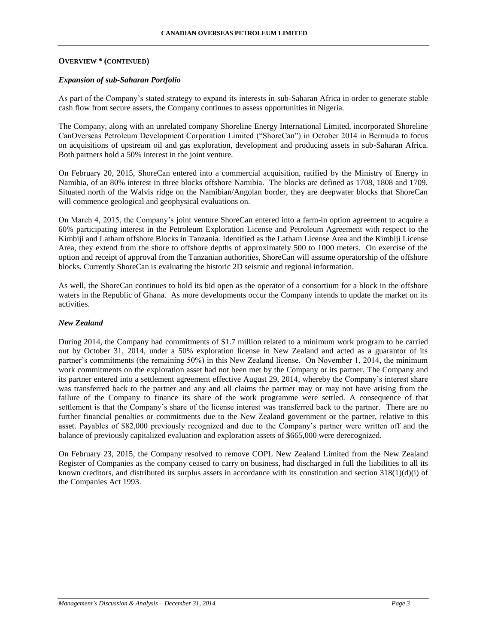## **OVERVIEW \* (CONTINUED)**

### *Expansion of sub-Saharan Portfolio*

As part of the Company's stated strategy to expand its interests in sub-Saharan Africa in order to generate stable cash flow from secure assets, the Company continues to assess opportunities in Nigeria.

The Company, along with an unrelated company Shoreline Energy International Limited, incorporated Shoreline CanOverseas Petroleum Development Corporation Limited ("ShoreCan") in October 2014 in Bermuda to focus on acquisitions of upstream oil and gas exploration, development and producing assets in sub-Saharan Africa. Both partners hold a 50% interest in the joint venture.

On February 20, 2015, ShoreCan entered into a commercial acquisition, ratified by the Ministry of Energy in Namibia, of an 80% interest in three blocks offshore Namibia. The blocks are defined as 1708, 1808 and 1709. Situated north of the Walvis ridge on the Namibian/Angolan border, they are deepwater blocks that ShoreCan will commence geological and geophysical evaluations on.

On March 4, 2015, the Company's joint venture ShoreCan entered into a farm-in option agreement to acquire a 60% participating interest in the Petroleum Exploration License and Petroleum Agreement with respect to the Kimbiji and Latham offshore Blocks in Tanzania. Identified as the Latham License Area and the Kimbiji License Area, they extend from the shore to offshore depths of approximately 500 to 1000 meters. On exercise of the option and receipt of approval from the Tanzanian authorities, ShoreCan will assume operatorship of the offshore blocks. Currently ShoreCan is evaluating the historic 2D seismic and regional information.

As well, the ShoreCan continues to hold its bid open as the operator of a consortium for a block in the offshore waters in the Republic of Ghana. As more developments occur the Company intends to update the market on its activities.

## *New Zealand*

During 2014, the Company had commitments of \$1.7 million related to a minimum work program to be carried out by October 31, 2014, under a 50% exploration license in New Zealand and acted as a guarantor of its partner's commitments (the remaining 50%) in this New Zealand license. On November 1, 2014, the minimum work commitments on the exploration asset had not been met by the Company or its partner. The Company and its partner entered into a settlement agreement effective August 29, 2014, whereby the Company's interest share was transferred back to the partner and any and all claims the partner may or may not have arising from the failure of the Company to finance its share of the work programme were settled. A consequence of that settlement is that the Company's share of the license interest was transferred back to the partner. There are no further financial penalties or commitments due to the New Zealand government or the partner, relative to this asset. Payables of \$82,000 previously recognized and due to the Company's partner were written off and the balance of previously capitalized evaluation and exploration assets of \$665,000 were derecognized.

On February 23, 2015, the Company resolved to remove COPL New Zealand Limited from the New Zealand Register of Companies as the company ceased to carry on business, had discharged in full the liabilities to all its known creditors, and distributed its surplus assets in accordance with its constitution and section  $318(1)(d)(i)$  of the Companies Act 1993.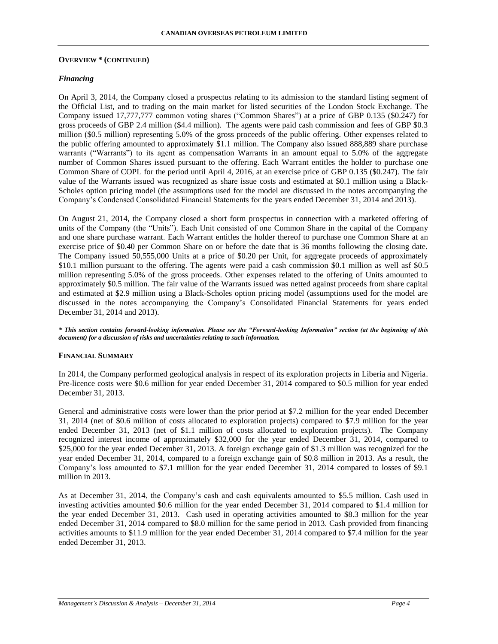#### **OVERVIEW \* (CONTINUED)**

### *Financing*

On April 3, 2014, the Company closed a prospectus relating to its admission to the standard listing segment of the Official List, and to trading on the main market for listed securities of the London Stock Exchange. The Company issued 17,777,777 common voting shares ("Common Shares") at a price of GBP 0.135 (\$0.247) for gross proceeds of GBP 2.4 million (\$4.4 million). The agents were paid cash commission and fees of GBP \$0.3 million (\$0.5 million) representing 5.0% of the gross proceeds of the public offering. Other expenses related to the public offering amounted to approximately \$1.1 million. The Company also issued 888,889 share purchase warrants ("Warrants") to its agent as compensation Warrants in an amount equal to 5.0% of the aggregate number of Common Shares issued pursuant to the offering. Each Warrant entitles the holder to purchase one Common Share of COPL for the period until April 4, 2016, at an exercise price of GBP 0.135 (\$0.247). The fair value of the Warrants issued was recognized as share issue costs and estimated at \$0.1 million using a Black-Scholes option pricing model (the assumptions used for the model are discussed in the notes accompanying the Company's Condensed Consolidated Financial Statements for the years ended December 31, 2014 and 2013).

On August 21, 2014, the Company closed a short form prospectus in connection with a marketed offering of units of the Company (the "Units"). Each Unit consisted of one Common Share in the capital of the Company and one share purchase warrant. Each Warrant entitles the holder thereof to purchase one Common Share at an exercise price of \$0.40 per Common Share on or before the date that is 36 months following the closing date. The Company issued 50,555,000 Units at a price of \$0.20 per Unit, for aggregate proceeds of approximately \$10.1 million pursuant to the offering. The agents were paid a cash commission \$0.1 million as well asf \$0.5 million representing 5.0% of the gross proceeds. Other expenses related to the offering of Units amounted to approximately \$0.5 million. The fair value of the Warrants issued was netted against proceeds from share capital and estimated at \$2.9 million using a Black-Scholes option pricing model (assumptions used for the model are discussed in the notes accompanying the Company's Consolidated Financial Statements for years ended December 31, 2014 and 2013).

*\* This section contains forward-looking information. Please see the "Forward-looking Information" section (at the beginning of this document) for a discussion of risks and uncertainties relating to such information.*

#### **FINANCIAL SUMMARY**

In 2014, the Company performed geological analysis in respect of its exploration projects in Liberia and Nigeria. Pre-licence costs were \$0.6 million for year ended December 31, 2014 compared to \$0.5 million for year ended December 31, 2013.

General and administrative costs were lower than the prior period at \$7.2 million for the year ended December 31, 2014 (net of \$0.6 million of costs allocated to exploration projects) compared to \$7.9 million for the year ended December 31, 2013 (net of \$1.1 million of costs allocated to exploration projects). The Company recognized interest income of approximately \$32,000 for the year ended December 31, 2014, compared to \$25,000 for the year ended December 31, 2013. A foreign exchange gain of \$1.3 million was recognized for the year ended December 31, 2014, compared to a foreign exchange gain of \$0.8 million in 2013. As a result, the Company's loss amounted to \$7.1 million for the year ended December 31, 2014 compared to losses of \$9.1 million in 2013.

As at December 31, 2014, the Company's cash and cash equivalents amounted to \$5.5 million. Cash used in investing activities amounted \$0.6 million for the year ended December 31, 2014 compared to \$1.4 million for the year ended December 31, 2013. Cash used in operating activities amounted to \$8.3 million for the year ended December 31, 2014 compared to \$8.0 million for the same period in 2013. Cash provided from financing activities amounts to \$11.9 million for the year ended December 31, 2014 compared to \$7.4 million for the year ended December 31, 2013.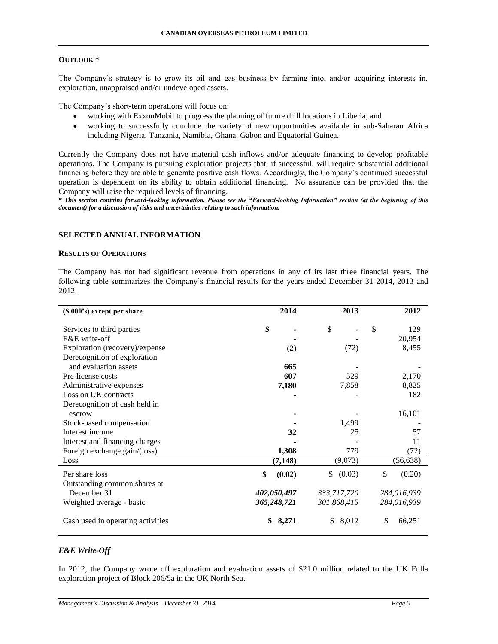## **OUTLOOK \***

The Company's strategy is to grow its oil and gas business by farming into, and/or acquiring interests in, exploration, unappraised and/or undeveloped assets.

The Company's short-term operations will focus on:

- working with ExxonMobil to progress the planning of future drill locations in Liberia; and
- working to successfully conclude the variety of new opportunities available in sub-Saharan Africa including Nigeria, Tanzania, Namibia, Ghana, Gabon and Equatorial Guinea.

Currently the Company does not have material cash inflows and/or adequate financing to develop profitable operations. The Company is pursuing exploration projects that, if successful, will require substantial additional financing before they are able to generate positive cash flows. Accordingly, the Company's continued successful operation is dependent on its ability to obtain additional financing. No assurance can be provided that the Company will raise the required levels of financing.

*\* This section contains forward-looking information. Please see the "Forward-looking Information" section (at the beginning of this document) for a discussion of risks and uncertainties relating to such information.*

## **SELECTED ANNUAL INFORMATION**

### **RESULTS OF OPERATIONS**

The Company has not had significant revenue from operations in any of its last three financial years. The following table summarizes the Company's financial results for the years ended December 31 2014, 2013 and 2012:

| (\$ 000's) except per share       | 2014         | 2013         | 2012         |
|-----------------------------------|--------------|--------------|--------------|
| Services to third parties         | \$           | \$           | \$<br>129    |
| E&E write-off                     |              |              | 20,954       |
| Exploration (recovery)/expense    | (2)          | (72)         | 8,455        |
| Derecognition of exploration      |              |              |              |
| and evaluation assets             | 665          |              |              |
| Pre-license costs                 | 607          | 529          | 2,170        |
| Administrative expenses           | 7,180        | 7,858        | 8,825        |
| Loss on UK contracts              |              |              | 182          |
| Derecognition of cash held in     |              |              |              |
| escrow                            |              |              | 16,101       |
| Stock-based compensation          |              | 1,499        |              |
| Interest income                   | 32           | 25           | 57           |
| Interest and financing charges    |              |              | 11           |
| Foreign exchange gain/(loss)      | 1,308        | 779          | (72)         |
| Loss                              | (7, 148)     | (9,073)      | (56, 638)    |
| Per share loss                    | \$<br>(0.02) | (0.03)<br>\$ | \$<br>(0.20) |
| Outstanding common shares at      |              |              |              |
| December 31                       | 402,050,497  | 333,717,720  | 284,016,939  |
| Weighted average - basic          | 365,248,721  | 301,868,415  | 284,016,939  |
| Cash used in operating activities | 8,271<br>\$  | 8,012<br>\$  | \$<br>66,251 |

# *E&E Write-Off*

In 2012, the Company wrote off exploration and evaluation assets of \$21.0 million related to the UK Fulla exploration project of Block 206/5a in the UK North Sea.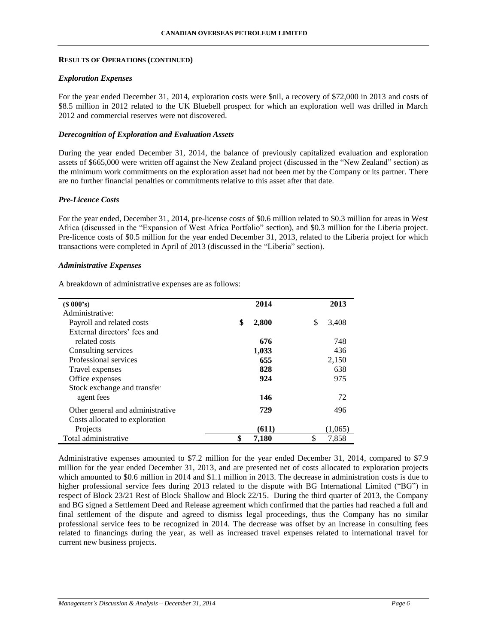## **RESULTS OF OPERATIONS (CONTINUED)**

## *Exploration Expenses*

For the year ended December 31, 2014, exploration costs were \$nil, a recovery of \$72,000 in 2013 and costs of \$8.5 million in 2012 related to the UK Bluebell prospect for which an exploration well was drilled in March 2012 and commercial reserves were not discovered.

## *Derecognition of Exploration and Evaluation Assets*

During the year ended December 31, 2014, the balance of previously capitalized evaluation and exploration assets of \$665,000 were written off against the New Zealand project (discussed in the "New Zealand" section) as the minimum work commitments on the exploration asset had not been met by the Company or its partner. There are no further financial penalties or commitments relative to this asset after that date.

## *Pre-Licence Costs*

For the year ended, December 31, 2014, pre-license costs of \$0.6 million related to \$0.3 million for areas in West Africa (discussed in the "Expansion of West Africa Portfolio" section), and \$0.3 million for the Liberia project. Pre-licence costs of \$0.5 million for the year ended December 31, 2013, related to the Liberia project for which transactions were completed in April of 2013 (discussed in the "Liberia" section).

#### *Administrative Expenses*

A breakdown of administrative expenses are as follows:

| (S 000's)                        | 2014        | 2013        |
|----------------------------------|-------------|-------------|
| Administrative:                  |             |             |
| Payroll and related costs        | \$<br>2,800 | \$<br>3,408 |
| External directors' fees and     |             |             |
| related costs                    | 676         | 748         |
| Consulting services              | 1,033       | 436         |
| Professional services            | 655         | 2,150       |
| Travel expenses                  | 828         | 638         |
| Office expenses                  | 924         | 975         |
| Stock exchange and transfer      |             |             |
| agent fees                       | 146         | 72          |
| Other general and administrative | 729         | 496         |
| Costs allocated to exploration   |             |             |
| Projects                         | (611)       | (1,065)     |
| Total administrative             | \$<br>7,180 | \$<br>7,858 |

Administrative expenses amounted to \$7.2 million for the year ended December 31, 2014, compared to \$7.9 million for the year ended December 31, 2013, and are presented net of costs allocated to exploration projects which amounted to \$0.6 million in 2014 and \$1.1 million in 2013. The decrease in administration costs is due to higher professional service fees during 2013 related to the dispute with BG International Limited ("BG") in respect of Block 23/21 Rest of Block Shallow and Block 22/15. During the third quarter of 2013, the Company and BG signed a Settlement Deed and Release agreement which confirmed that the parties had reached a full and final settlement of the dispute and agreed to dismiss legal proceedings, thus the Company has no similar professional service fees to be recognized in 2014. The decrease was offset by an increase in consulting fees related to financings during the year, as well as increased travel expenses related to international travel for current new business projects.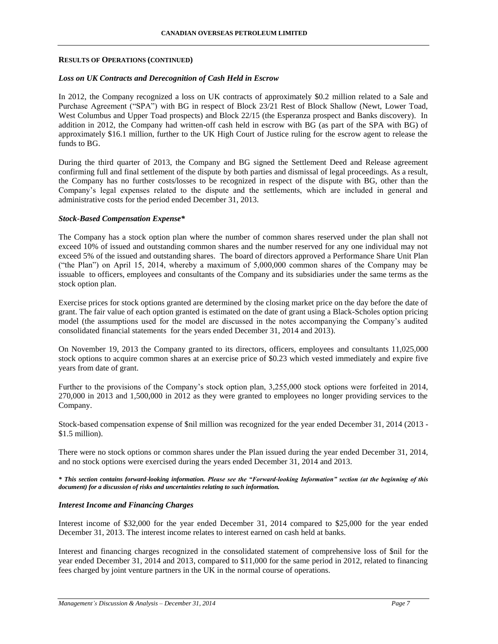#### **RESULTS OF OPERATIONS (CONTINUED)**

### *Loss on UK Contracts and Derecognition of Cash Held in Escrow*

In 2012, the Company recognized a loss on UK contracts of approximately \$0.2 million related to a Sale and Purchase Agreement ("SPA") with BG in respect of Block 23/21 Rest of Block Shallow (Newt, Lower Toad, West Columbus and Upper Toad prospects) and Block 22/15 (the Esperanza prospect and Banks discovery). In addition in 2012, the Company had written-off cash held in escrow with BG (as part of the SPA with BG) of approximately \$16.1 million, further to the UK High Court of Justice ruling for the escrow agent to release the funds to BG.

During the third quarter of 2013, the Company and BG signed the Settlement Deed and Release agreement confirming full and final settlement of the dispute by both parties and dismissal of legal proceedings. As a result, the Company has no further costs/losses to be recognized in respect of the dispute with BG, other than the Company's legal expenses related to the dispute and the settlements, which are included in general and administrative costs for the period ended December 31, 2013.

## *Stock-Based Compensation Expense\**

The Company has a stock option plan where the number of common shares reserved under the plan shall not exceed 10% of issued and outstanding common shares and the number reserved for any one individual may not exceed 5% of the issued and outstanding shares. The board of directors approved a Performance Share Unit Plan ("the Plan") on April 15, 2014, whereby a maximum of 5,000,000 common shares of the Company may be issuable to officers, employees and consultants of the Company and its subsidiaries under the same terms as the stock option plan.

Exercise prices for stock options granted are determined by the closing market price on the day before the date of grant. The fair value of each option granted is estimated on the date of grant using a Black-Scholes option pricing model (the assumptions used for the model are discussed in the notes accompanying the Company's audited consolidated financial statements for the years ended December 31, 2014 and 2013).

On November 19, 2013 the Company granted to its directors, officers, employees and consultants 11,025,000 stock options to acquire common shares at an exercise price of \$0.23 which vested immediately and expire five years from date of grant.

Further to the provisions of the Company's stock option plan, 3,255,000 stock options were forfeited in 2014, 270,000 in 2013 and 1,500,000 in 2012 as they were granted to employees no longer providing services to the Company.

Stock-based compensation expense of \$nil million was recognized for the year ended December 31, 2014 (2013 - \$1.5 million).

There were no stock options or common shares under the Plan issued during the year ended December 31, 2014, and no stock options were exercised during the years ended December 31, 2014 and 2013.

*\* This section contains forward-looking information. Please see the "Forward-looking Information" section (at the beginning of this document) for a discussion of risks and uncertainties relating to such information.*

#### *Interest Income and Financing Charges*

Interest income of \$32,000 for the year ended December 31, 2014 compared to \$25,000 for the year ended December 31, 2013. The interest income relates to interest earned on cash held at banks.

Interest and financing charges recognized in the consolidated statement of comprehensive loss of \$nil for the year ended December 31, 2014 and 2013, compared to \$11,000 for the same period in 2012, related to financing fees charged by joint venture partners in the UK in the normal course of operations.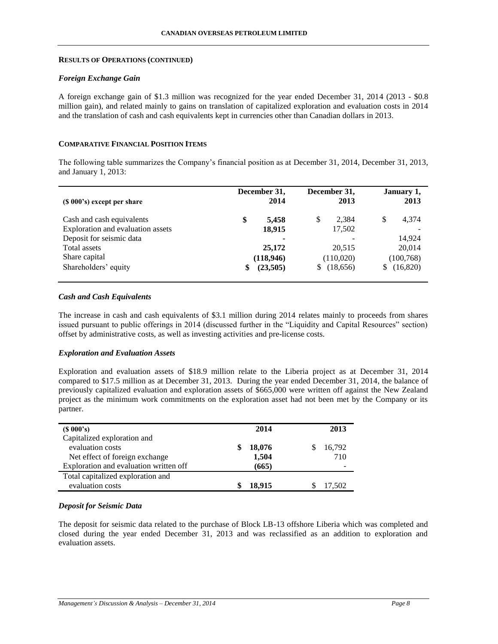### **RESULTS OF OPERATIONS (CONTINUED)**

### *Foreign Exchange Gain*

A foreign exchange gain of \$1.3 million was recognized for the year ended December 31, 2014 (2013 - \$0.8 million gain), and related mainly to gains on translation of capitalized exploration and evaluation costs in 2014 and the translation of cash and cash equivalents kept in currencies other than Canadian dollars in 2013.

### **COMPARATIVE FINANCIAL POSITION ITEMS**

The following table summarizes the Company's financial position as at December 31, 2014, December 31, 2013, and January 1, 2013:

| (\$ 000's) except per share       | December 31,<br>2014 | December 31,<br>2013 | January 1,<br>2013 |
|-----------------------------------|----------------------|----------------------|--------------------|
| Cash and cash equivalents         | \$<br>5,458          | 2.384<br>S           | S<br>4,374         |
| Exploration and evaluation assets | 18,915               | 17,502               |                    |
| Deposit for seismic data          |                      |                      | 14,924             |
| Total assets                      | 25,172               | 20,515               | 20,014             |
| Share capital                     | (118,946)            | (110,020)            | (100, 768)         |
| Shareholders' equity              | (23,505)<br>\$       | (18,656)             | (16,820)<br>S      |

### *Cash and Cash Equivalents*

The increase in cash and cash equivalents of \$3.1 million during 2014 relates mainly to proceeds from shares issued pursuant to public offerings in 2014 (discussed further in the "Liquidity and Capital Resources" section) offset by administrative costs, as well as investing activities and pre-license costs.

#### *Exploration and Evaluation Assets*

Exploration and evaluation assets of \$18.9 million relate to the Liberia project as at December 31, 2014 compared to \$17.5 million as at December 31, 2013. During the year ended December 31, 2014, the balance of previously capitalized evaluation and exploration assets of \$665,000 were written off against the New Zealand project as the minimum work commitments on the exploration asset had not been met by the Company or its partner.

| $(S\ 000's)$                           | 2014   | 2013   |
|----------------------------------------|--------|--------|
| Capitalized exploration and            |        |        |
| evaluation costs                       | 18,076 | 16,792 |
| Net effect of foreign exchange         | 1,504  | 710    |
| Exploration and evaluation written off | (665)  |        |
| Total capitalized exploration and      |        |        |
| evaluation costs                       | 18.915 | 17,502 |

## *Deposit for Seismic Data*

The deposit for seismic data related to the purchase of Block LB-13 offshore Liberia which was completed and closed during the year ended December 31, 2013 and was reclassified as an addition to exploration and evaluation assets.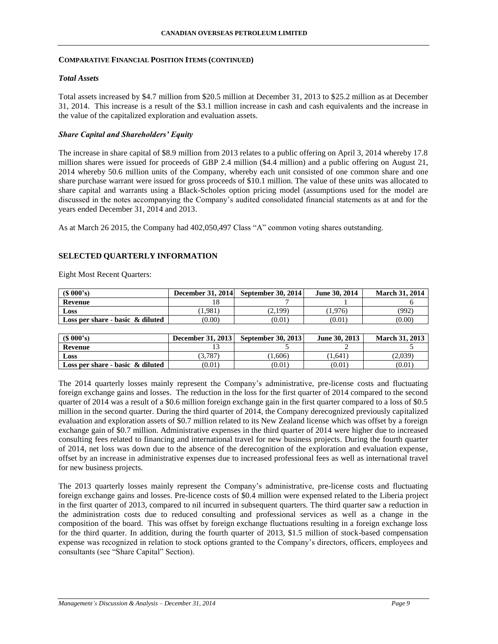## **COMPARATIVE FINANCIAL POSITION ITEMS (CONTINUED)**

## *Total Assets*

Total assets increased by \$4.7 million from \$20.5 million at December 31, 2013 to \$25.2 million as at December 31, 2014. This increase is a result of the \$3.1 million increase in cash and cash equivalents and the increase in the value of the capitalized exploration and evaluation assets.

## *Share Capital and Shareholders' Equity*

The increase in share capital of \$8.9 million from 2013 relates to a public offering on April 3, 2014 whereby 17.8 million shares were issued for proceeds of GBP 2.4 million (\$4.4 million) and a public offering on August 21, 2014 whereby 50.6 million units of the Company, whereby each unit consisted of one common share and one share purchase warrant were issued for gross proceeds of \$10.1 million. The value of these units was allocated to share capital and warrants using a Black-Scholes option pricing model (assumptions used for the model are discussed in the notes accompanying the Company's audited consolidated financial statements as at and for the years ended December 31, 2014 and 2013.

As at March 26 2015, the Company had 402,050,497 Class "A" common voting shares outstanding.

## **SELECTED QUARTERLY INFORMATION**

Eight Most Recent Quarters:

| $(S\ 000's)$                        | <b>December 31, 2014</b> | <b>September 30, 2014</b> | June 30, 2014 | <b>March 31, 2014</b> |
|-------------------------------------|--------------------------|---------------------------|---------------|-----------------------|
| Revenue                             |                          |                           |               |                       |
| Loss                                | $1.981^{\circ}$          | 2,199)                    | (1.976)       | (992                  |
| Loss per share - basic $\&$ diluted | (0.00)                   | (0.01)                    | (0.01)        | (0.00)                |

| $(S\ 000's)$                        | <b>December 31, 2013</b> | <b>September 30, 2013</b> | June 30, 2013 | <b>March 31, 2013</b> |
|-------------------------------------|--------------------------|---------------------------|---------------|-----------------------|
| Revenue                             |                          |                           |               |                       |
| Loss                                | 3.787                    | (0.606)                   | 1.641         | 2,039                 |
| Loss per share - basic $\&$ diluted | (0.01)                   | (0.01)                    | (0.01)        | (0.01                 |

The 2014 quarterly losses mainly represent the Company's administrative, pre-license costs and fluctuating foreign exchange gains and losses. The reduction in the loss for the first quarter of 2014 compared to the second quarter of 2014 was a result of a \$0.6 million foreign exchange gain in the first quarter compared to a loss of \$0.5 million in the second quarter. During the third quarter of 2014, the Company derecognized previously capitalized evaluation and exploration assets of \$0.7 million related to its New Zealand license which was offset by a foreign exchange gain of \$0.7 million. Administrative expenses in the third quarter of 2014 were higher due to increased consulting fees related to financing and international travel for new business projects. During the fourth quarter of 2014, net loss was down due to the absence of the derecognition of the exploration and evaluation expense, offset by an increase in administrative expenses due to increased professional fees as well as international travel for new business projects.

The 2013 quarterly losses mainly represent the Company's administrative, pre-license costs and fluctuating foreign exchange gains and losses. Pre-licence costs of \$0.4 million were expensed related to the Liberia project in the first quarter of 2013, compared to nil incurred in subsequent quarters. The third quarter saw a reduction in the administration costs due to reduced consulting and professional services as well as a change in the composition of the board. This was offset by foreign exchange fluctuations resulting in a foreign exchange loss for the third quarter. In addition, during the fourth quarter of 2013, \$1.5 million of stock-based compensation expense was recognized in relation to stock options granted to the Company's directors, officers, employees and consultants (see "Share Capital" Section).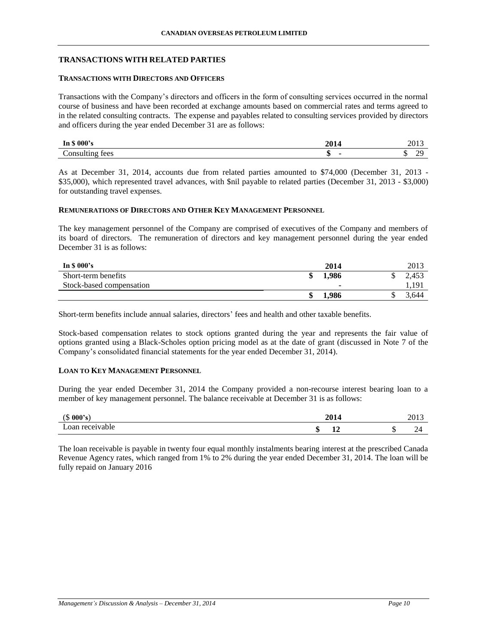## **TRANSACTIONS WITH RELATED PARTIES**

## **TRANSACTIONS WITH DIRECTORS AND OFFICERS**

Transactions with the Company's directors and officers in the form of consulting services occurred in the normal course of business and have been recorded at exchange amounts based on commercial rates and terms agreed to in the related consulting contracts. The expense and payables related to consulting services provided by directors and officers during the year ended December 31 are as follows:

| nnn?<br>ww<br>     | 2014         | 49 L J                  |
|--------------------|--------------|-------------------------|
| onsulting.<br>tees | M<br>-<br>٨D | $\mathbf{r}$<br>71<br>w |

As at December 31, 2014, accounts due from related parties amounted to \$74,000 (December 31, 2013 - \$35,000), which represented travel advances, with \$nil payable to related parties (December 31, 2013 - \$3,000) for outstanding travel expenses.

## **REMUNERATIONS OF DIRECTORS AND OTHER KEY MANAGEMENT PERSONNEL**

The key management personnel of the Company are comprised of executives of the Company and members of its board of directors. The remuneration of directors and key management personnel during the year ended December 31 is as follows:

| In $\frac{$8000}{s}$     | 2014                     | 2013  |
|--------------------------|--------------------------|-------|
| Short-term benefits      | 1.986                    | 2.453 |
| Stock-based compensation | $\overline{\phantom{a}}$ | 1,191 |
|                          | .986                     | 3.644 |

Short-term benefits include annual salaries, directors' fees and health and other taxable benefits.

Stock-based compensation relates to stock options granted during the year and represents the fair value of options granted using a Black-Scholes option pricing model as at the date of grant (discussed in Note 7 of the Company's consolidated financial statements for the year ended December 31, 2014).

## **LOAN TO KEY MANAGEMENT PERSONNEL**

During the year ended December 31, 2014 the Company provided a non-recourse interest bearing loan to a member of key management personnel. The balance receivable at December 31 is as follows:

| 000's<br>$\sqrt{2}$<br>-314 | 201<br>2014              | 2013                    |
|-----------------------------|--------------------------|-------------------------|
| -<br>oan receivable         | $\triangle$<br>۰U<br>-44 | -<br>ᄓ<br>$\sim$ $\sim$ |

The loan receivable is payable in twenty four equal monthly instalments bearing interest at the prescribed Canada Revenue Agency rates, which ranged from 1% to 2% during the year ended December 31, 2014. The loan will be fully repaid on January 2016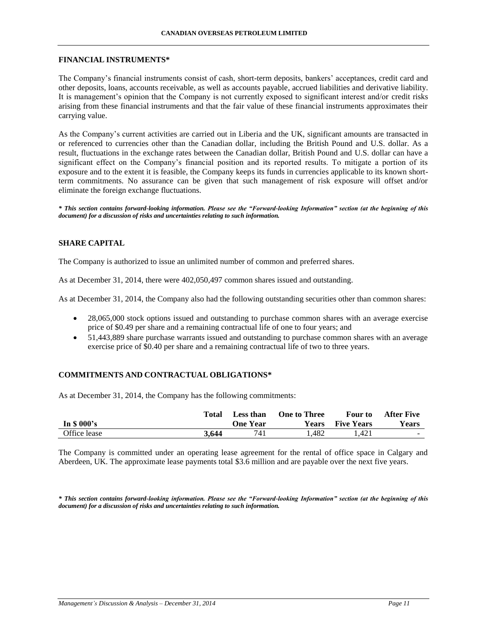#### **FINANCIAL INSTRUMENTS\***

The Company's financial instruments consist of cash, short-term deposits, bankers' acceptances, credit card and other deposits, loans, accounts receivable, as well as accounts payable, accrued liabilities and derivative liability. It is management's opinion that the Company is not currently exposed to significant interest and/or credit risks arising from these financial instruments and that the fair value of these financial instruments approximates their carrying value.

As the Company's current activities are carried out in Liberia and the UK, significant amounts are transacted in or referenced to currencies other than the Canadian dollar, including the British Pound and U.S. dollar. As a result, fluctuations in the exchange rates between the Canadian dollar, British Pound and U.S. dollar can have a significant effect on the Company's financial position and its reported results. To mitigate a portion of its exposure and to the extent it is feasible, the Company keeps its funds in currencies applicable to its known shortterm commitments. No assurance can be given that such management of risk exposure will offset and/or eliminate the foreign exchange fluctuations.

*\* This section contains forward-looking information. Please see the "Forward-looking Information" section (at the beginning of this document) for a discussion of risks and uncertainties relating to such information.*

## **SHARE CAPITAL**

The Company is authorized to issue an unlimited number of common and preferred shares.

As at December 31, 2014, there were 402,050,497 common shares issued and outstanding.

As at December 31, 2014, the Company also had the following outstanding securities other than common shares:

- 28,065,000 stock options issued and outstanding to purchase common shares with an average exercise price of \$0.49 per share and a remaining contractual life of one to four years; and
- 51,443,889 share purchase warrants issued and outstanding to purchase common shares with an average exercise price of \$0.40 per share and a remaining contractual life of two to three years.

# **COMMITMENTS AND CONTRACTUAL OBLIGATIONS\***

As at December 31, 2014, the Company has the following commitments:

|              | Total | Less than | <b>One to Three</b> | <b>Four to</b>    | <b>After Five</b> |
|--------------|-------|-----------|---------------------|-------------------|-------------------|
| In $$000's$  |       | One Year  | Years               | <b>Five Years</b> | <b>Years</b>      |
| Office lease | 3.644 | 741       | . 482               | 1.421             | $\sim$ 100 $\mu$  |

The Company is committed under an operating lease agreement for the rental of office space in Calgary and Aberdeen, UK. The approximate lease payments total \$3.6 million and are payable over the next five years.

*\* This section contains forward-looking information. Please see the "Forward-looking Information" section (at the beginning of this document) for a discussion of risks and uncertainties relating to such information.*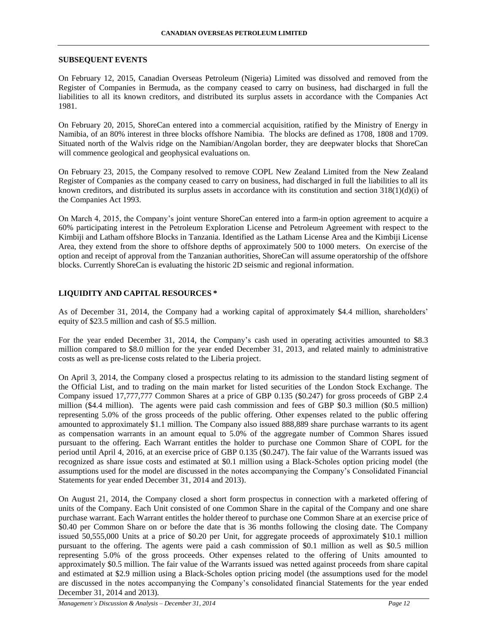### **SUBSEQUENT EVENTS**

On February 12, 2015, Canadian Overseas Petroleum (Nigeria) Limited was dissolved and removed from the Register of Companies in Bermuda, as the company ceased to carry on business, had discharged in full the liabilities to all its known creditors, and distributed its surplus assets in accordance with the Companies Act 1981.

On February 20, 2015, ShoreCan entered into a commercial acquisition, ratified by the Ministry of Energy in Namibia, of an 80% interest in three blocks offshore Namibia. The blocks are defined as 1708, 1808 and 1709. Situated north of the Walvis ridge on the Namibian/Angolan border, they are deepwater blocks that ShoreCan will commence geological and geophysical evaluations on.

On February 23, 2015, the Company resolved to remove COPL New Zealand Limited from the New Zealand Register of Companies as the company ceased to carry on business, had discharged in full the liabilities to all its known creditors, and distributed its surplus assets in accordance with its constitution and section  $318(1)(d)(i)$  of the Companies Act 1993.

On March 4, 2015, the Company's joint venture ShoreCan entered into a farm-in option agreement to acquire a 60% participating interest in the Petroleum Exploration License and Petroleum Agreement with respect to the Kimbiji and Latham offshore Blocks in Tanzania. Identified as the Latham License Area and the Kimbiji License Area, they extend from the shore to offshore depths of approximately 500 to 1000 meters. On exercise of the option and receipt of approval from the Tanzanian authorities, ShoreCan will assume operatorship of the offshore blocks. Currently ShoreCan is evaluating the historic 2D seismic and regional information.

## **LIQUIDITY AND CAPITAL RESOURCES \***

As of December 31, 2014, the Company had a working capital of approximately \$4.4 million, shareholders' equity of \$23.5 million and cash of \$5.5 million.

For the year ended December 31, 2014, the Company's cash used in operating activities amounted to \$8.3 million compared to \$8.0 million for the year ended December 31, 2013, and related mainly to administrative costs as well as pre-license costs related to the Liberia project.

On April 3, 2014, the Company closed a prospectus relating to its admission to the standard listing segment of the Official List, and to trading on the main market for listed securities of the London Stock Exchange. The Company issued 17,777,777 Common Shares at a price of GBP 0.135 (\$0.247) for gross proceeds of GBP 2.4 million (\$4.4 million). The agents were paid cash commission and fees of GBP \$0.3 million (\$0.5 million) representing 5.0% of the gross proceeds of the public offering. Other expenses related to the public offering amounted to approximately \$1.1 million. The Company also issued 888,889 share purchase warrants to its agent as compensation warrants in an amount equal to 5.0% of the aggregate number of Common Shares issued pursuant to the offering. Each Warrant entitles the holder to purchase one Common Share of COPL for the period until April 4, 2016, at an exercise price of GBP 0.135 (\$0.247). The fair value of the Warrants issued was recognized as share issue costs and estimated at \$0.1 million using a Black-Scholes option pricing model (the assumptions used for the model are discussed in the notes accompanying the Company's Consolidated Financial Statements for year ended December 31, 2014 and 2013).

On August 21, 2014, the Company closed a short form prospectus in connection with a marketed offering of units of the Company. Each Unit consisted of one Common Share in the capital of the Company and one share purchase warrant. Each Warrant entitles the holder thereof to purchase one Common Share at an exercise price of \$0.40 per Common Share on or before the date that is 36 months following the closing date. The Company issued 50,555,000 Units at a price of \$0.20 per Unit, for aggregate proceeds of approximately \$10.1 million pursuant to the offering. The agents were paid a cash commission of \$0.1 million as well as \$0.5 million representing 5.0% of the gross proceeds. Other expenses related to the offering of Units amounted to approximately \$0.5 million. The fair value of the Warrants issued was netted against proceeds from share capital and estimated at \$2.9 million using a Black-Scholes option pricing model (the assumptions used for the model are discussed in the notes accompanying the Company's consolidated financial Statements for the year ended December 31, 2014 and 2013).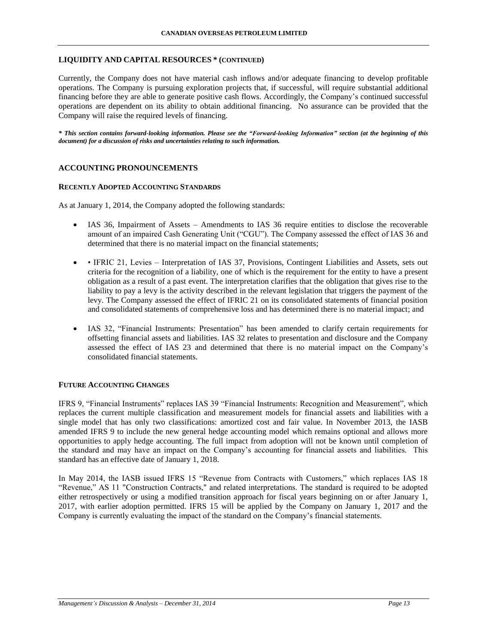## **LIQUIDITY AND CAPITAL RESOURCES \* (CONTINUED)**

Currently, the Company does not have material cash inflows and/or adequate financing to develop profitable operations. The Company is pursuing exploration projects that, if successful, will require substantial additional financing before they are able to generate positive cash flows. Accordingly, the Company's continued successful operations are dependent on its ability to obtain additional financing. No assurance can be provided that the Company will raise the required levels of financing.

*\* This section contains forward-looking information. Please see the "Forward-looking Information" section (at the beginning of this document) for a discussion of risks and uncertainties relating to such information.*

## **ACCOUNTING PRONOUNCEMENTS**

## **RECENTLY ADOPTED ACCOUNTING STANDARDS**

As at January 1, 2014, the Company adopted the following standards:

- IAS 36, Impairment of Assets Amendments to IAS 36 require entities to disclose the recoverable amount of an impaired Cash Generating Unit ("CGU"). The Company assessed the effect of IAS 36 and determined that there is no material impact on the financial statements;
- IFRIC 21, Levies Interpretation of IAS 37, Provisions, Contingent Liabilities and Assets, sets out criteria for the recognition of a liability, one of which is the requirement for the entity to have a present obligation as a result of a past event. The interpretation clarifies that the obligation that gives rise to the liability to pay a levy is the activity described in the relevant legislation that triggers the payment of the levy. The Company assessed the effect of IFRIC 21 on its consolidated statements of financial position and consolidated statements of comprehensive loss and has determined there is no material impact; and
- IAS 32, "Financial Instruments: Presentation" has been amended to clarify certain requirements for offsetting financial assets and liabilities. IAS 32 relates to presentation and disclosure and the Company assessed the effect of IAS 23 and determined that there is no material impact on the Company's consolidated financial statements.

## **FUTURE ACCOUNTING CHANGES**

IFRS 9, "Financial Instruments" replaces IAS 39 "Financial Instruments: Recognition and Measurement", which replaces the current multiple classification and measurement models for financial assets and liabilities with a single model that has only two classifications: amortized cost and fair value. In November 2013, the IASB amended IFRS 9 to include the new general hedge accounting model which remains optional and allows more opportunities to apply hedge accounting. The full impact from adoption will not be known until completion of the standard and may have an impact on the Company's accounting for financial assets and liabilities. This standard has an effective date of January 1, 2018.

In May 2014, the IASB issued IFRS 15 "Revenue from Contracts with Customers," which replaces IAS 18 "Revenue," AS 11 "Construction Contracts," and related interpretations. The standard is required to be adopted either retrospectively or using a modified transition approach for fiscal years beginning on or after January 1, 2017, with earlier adoption permitted. IFRS 15 will be applied by the Company on January 1, 2017 and the Company is currently evaluating the impact of the standard on the Company's financial statements.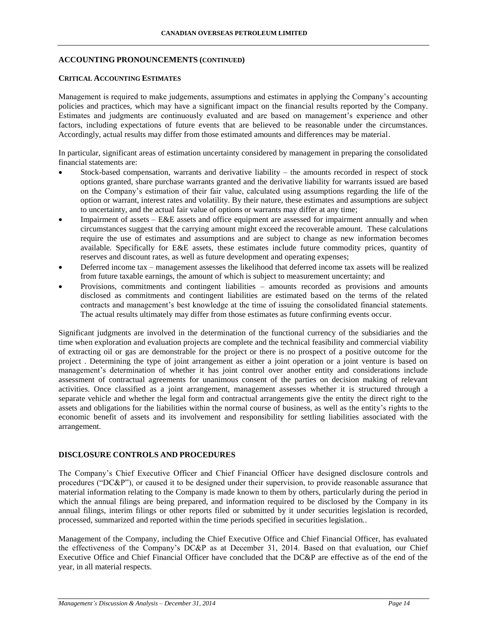## **ACCOUNTING PRONOUNCEMENTS (CONTINUED)**

## **CRITICAL ACCOUNTING ESTIMATES**

Management is required to make judgements, assumptions and estimates in applying the Company's accounting policies and practices, which may have a significant impact on the financial results reported by the Company. Estimates and judgments are continuously evaluated and are based on management's experience and other factors, including expectations of future events that are believed to be reasonable under the circumstances. Accordingly, actual results may differ from those estimated amounts and differences may be material.

In particular, significant areas of estimation uncertainty considered by management in preparing the consolidated financial statements are:

- Stock-based compensation, warrants and derivative liability the amounts recorded in respect of stock options granted, share purchase warrants granted and the derivative liability for warrants issued are based on the Company's estimation of their fair value, calculated using assumptions regarding the life of the option or warrant, interest rates and volatility. By their nature, these estimates and assumptions are subject to uncertainty, and the actual fair value of options or warrants may differ at any time;
- Impairment of assets E&E assets and office equipment are assessed for impairment annually and when circumstances suggest that the carrying amount might exceed the recoverable amount. These calculations require the use of estimates and assumptions and are subject to change as new information becomes available. Specifically for E&E assets, these estimates include future commodity prices, quantity of reserves and discount rates, as well as future development and operating expenses;
- Deferred income tax management assesses the likelihood that deferred income tax assets will be realized from future taxable earnings, the amount of which is subject to measurement uncertainty; and
- Provisions, commitments and contingent liabilities amounts recorded as provisions and amounts disclosed as commitments and contingent liabilities are estimated based on the terms of the related contracts and management's best knowledge at the time of issuing the consolidated financial statements. The actual results ultimately may differ from those estimates as future confirming events occur.

Significant judgments are involved in the determination of the functional currency of the subsidiaries and the time when exploration and evaluation projects are complete and the technical feasibility and commercial viability of extracting oil or gas are demonstrable for the project or there is no prospect of a positive outcome for the project . Determining the type of joint arrangement as either a joint operation or a joint venture is based on management's determination of whether it has joint control over another entity and considerations include assessment of contractual agreements for unanimous consent of the parties on decision making of relevant activities. Once classified as a joint arrangement, management assesses whether it is structured through a separate vehicle and whether the legal form and contractual arrangements give the entity the direct right to the assets and obligations for the liabilities within the normal course of business, as well as the entity's rights to the economic benefit of assets and its involvement and responsibility for settling liabilities associated with the arrangement.

## **DISCLOSURE CONTROLS AND PROCEDURES**

The Company's Chief Executive Officer and Chief Financial Officer have designed disclosure controls and procedures ("DC&P"), or caused it to be designed under their supervision, to provide reasonable assurance that material information relating to the Company is made known to them by others, particularly during the period in which the annual filings are being prepared, and information required to be disclosed by the Company in its annual filings, interim filings or other reports filed or submitted by it under securities legislation is recorded, processed, summarized and reported within the time periods specified in securities legislation..

Management of the Company, including the Chief Executive Office and Chief Financial Officer, has evaluated the effectiveness of the Company's DC&P as at December 31, 2014. Based on that evaluation, our Chief Executive Office and Chief Financial Officer have concluded that the DC&P are effective as of the end of the year, in all material respects.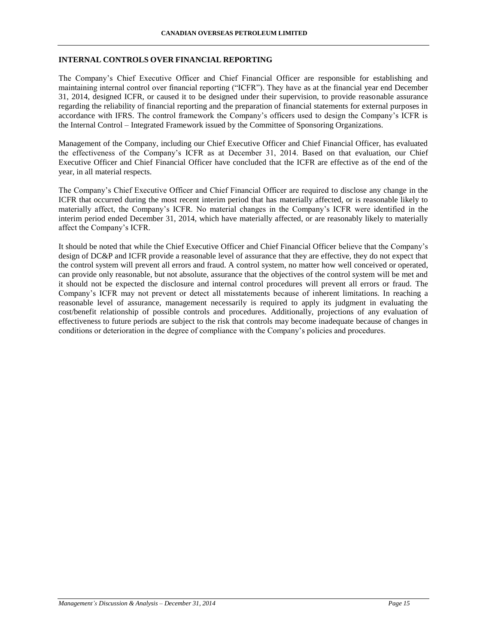## **INTERNAL CONTROLS OVER FINANCIAL REPORTING**

The Company's Chief Executive Officer and Chief Financial Officer are responsible for establishing and maintaining internal control over financial reporting ("ICFR"). They have as at the financial year end December 31, 2014, designed ICFR, or caused it to be designed under their supervision, to provide reasonable assurance regarding the reliability of financial reporting and the preparation of financial statements for external purposes in accordance with IFRS. The control framework the Company's officers used to design the Company's ICFR is the Internal Control – Integrated Framework issued by the Committee of Sponsoring Organizations.

Management of the Company, including our Chief Executive Officer and Chief Financial Officer, has evaluated the effectiveness of the Company's ICFR as at December 31, 2014. Based on that evaluation, our Chief Executive Officer and Chief Financial Officer have concluded that the ICFR are effective as of the end of the year, in all material respects.

The Company's Chief Executive Officer and Chief Financial Officer are required to disclose any change in the ICFR that occurred during the most recent interim period that has materially affected, or is reasonable likely to materially affect, the Company's ICFR. No material changes in the Company's ICFR were identified in the interim period ended December 31, 2014, which have materially affected, or are reasonably likely to materially affect the Company's ICFR.

It should be noted that while the Chief Executive Officer and Chief Financial Officer believe that the Company's design of DC&P and ICFR provide a reasonable level of assurance that they are effective, they do not expect that the control system will prevent all errors and fraud. A control system, no matter how well conceived or operated, can provide only reasonable, but not absolute, assurance that the objectives of the control system will be met and it should not be expected the disclosure and internal control procedures will prevent all errors or fraud. The Company's ICFR may not prevent or detect all misstatements because of inherent limitations. In reaching a reasonable level of assurance, management necessarily is required to apply its judgment in evaluating the cost/benefit relationship of possible controls and procedures. Additionally, projections of any evaluation of effectiveness to future periods are subject to the risk that controls may become inadequate because of changes in conditions or deterioration in the degree of compliance with the Company's policies and procedures.